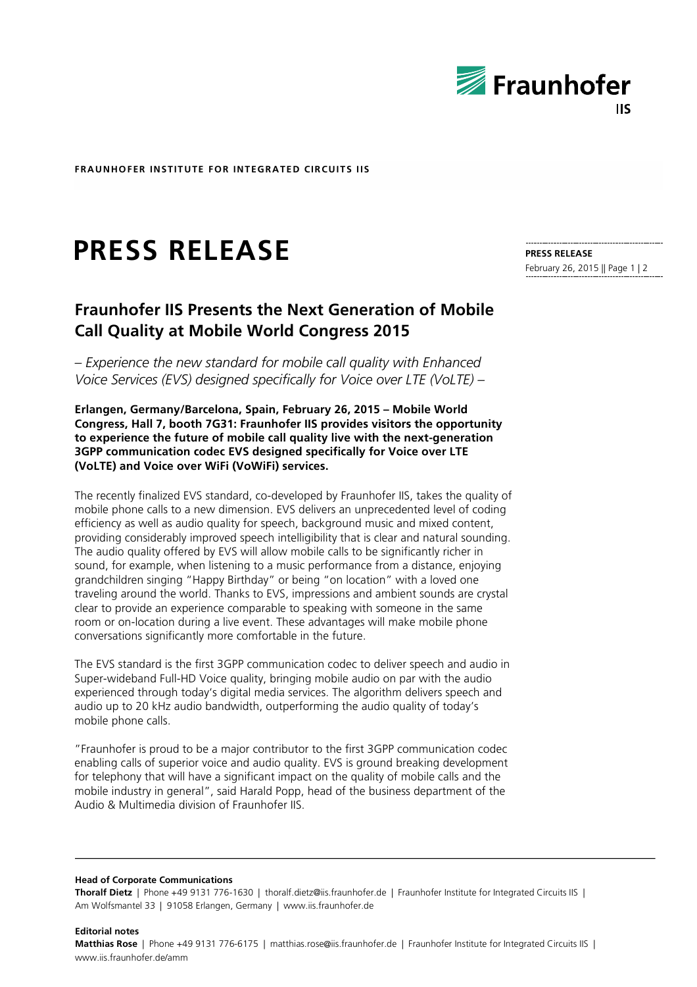

**FRAUNHOFER INSTITUTE FOR INTEGRATED CIRCUITS IIS**

# **PRESS RELEASE**

# **Fraunhofer IIS Presents the Next Generation of Mobile Call Quality at Mobile World Congress 2015**

*– Experience the new standard for mobile call quality with Enhanced Voice Services (EVS) designed specifically for Voice over LTE (VoLTE) –*

**Erlangen, Germany/Barcelona, Spain, February 26, 2015 – Mobile World Congress, Hall 7, booth 7G31: Fraunhofer IIS provides visitors the opportunity to experience the future of mobile call quality live with the next-generation 3GPP communication codec EVS designed specifically for Voice over LTE (VoLTE) and Voice over WiFi (VoWiFi) services.**

The recently finalized EVS standard, co-developed by Fraunhofer IIS, takes the quality of mobile phone calls to a new dimension. EVS delivers an unprecedented level of coding efficiency as well as audio quality for speech, background music and mixed content, providing considerably improved speech intelligibility that is clear and natural sounding. The audio quality offered by EVS will allow mobile calls to be significantly richer in sound, for example, when listening to a music performance from a distance, enjoying grandchildren singing "Happy Birthday" or being "on location" with a loved one traveling around the world. Thanks to EVS, impressions and ambient sounds are crystal clear to provide an experience comparable to speaking with someone in the same room or on-location during a live event. These advantages will make mobile phone conversations significantly more comfortable in the future.

The EVS standard is the first 3GPP communication codec to deliver speech and audio in Super-wideband Full-HD Voice quality, bringing mobile audio on par with the audio experienced through today's digital media services. The algorithm delivers speech and audio up to 20 kHz audio bandwidth, outperforming the audio quality of today's mobile phone calls.

"Fraunhofer is proud to be a major contributor to the first 3GPP communication codec enabling calls of superior voice and audio quality. EVS is ground breaking development for telephony that will have a significant impact on the quality of mobile calls and the mobile industry in general", said Harald Popp, head of the business department of the Audio & Multimedia division of Fraunhofer IIS.

**Head of Corporate Communications**

**Editorial notes**

**Thoralf Dietz** | Phone +49 9131 776-1630 | thoralf.dietz@iis.fraunhofer.de | Fraunhofer Institute for Integrated Circuits IIS | Am Wolfsmantel 33 | 91058 Erlangen, Germany | www.iis.fraunhofer.de

#### **PRESS RELEASE**

February 26, 2015 || Page 1 | 2

**Matthias Rose** | Phone +49 9131 776-6175 | matthias.rose@iis.fraunhofer.de | Fraunhofer Institute for Integrated Circuits IIS | www.iis.fraunhofer.de/amm